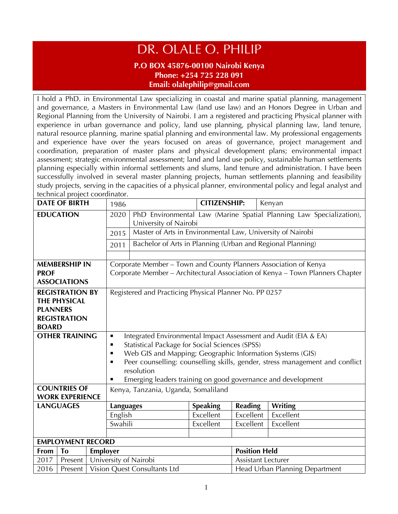## DR. OLALE O. PHILIP

## **P.O BOX 45876-00100 Nairobi Kenya Phone: +254 725 228 091 Email: olalephilip@gmail.com**

I hold a PhD. in Environmental Law specializing in coastal and marine spatial planning, management and governance, a Masters in Environmental Law (land use law) and an Honors Degree in Urban and Regional Planning from the University of Nairobi. I am a registered and practicing Physical planner with experience in urban governance and policy, land use planning, physical planning law, land tenure, natural resource planning, marine spatial planning and environmental law. My professional engagements and experience have over the years focused on areas of governance, project management and coordination, preparation of master plans and physical development plans; environmental impact assessment; strategic environmental assessment; land and land use policy, sustainable human settlements planning especially within informal settlements and slums, land tenure and administration. I have been successfully involved in several master planning projects, human settlements planning and feasibility study projects, serving in the capacities of a physical planner, environmental policy and legal analyst and technical project coordinator.

|                        | <b>DATE OF BIRTH</b>     |                                                              | 1986                                                                                            |                                                            | <b>CITIZENSHIP:</b> |                                                                     | Kenyan         |
|------------------------|--------------------------|--------------------------------------------------------------|-------------------------------------------------------------------------------------------------|------------------------------------------------------------|---------------------|---------------------------------------------------------------------|----------------|
| <b>EDUCATION</b>       |                          | 2020                                                         |                                                                                                 |                                                            |                     | PhD Environmental Law (Marine Spatial Planning Law Specialization), |                |
|                        |                          |                                                              | University of Nairobi                                                                           |                                                            |                     |                                                                     |                |
|                        |                          | 2015                                                         | Master of Arts in Environmental Law, University of Nairobi                                      |                                                            |                     |                                                                     |                |
|                        |                          |                                                              | 2011                                                                                            | Bachelor of Arts in Planning (Urban and Regional Planning) |                     |                                                                     |                |
|                        |                          |                                                              |                                                                                                 |                                                            |                     |                                                                     |                |
| <b>MEMBERSHIP IN</b>   |                          |                                                              | Corporate Member - Town and County Planners Association of Kenya                                |                                                            |                     |                                                                     |                |
| <b>PROF</b>            |                          |                                                              | Corporate Member - Architectural Association of Kenya - Town Planners Chapter                   |                                                            |                     |                                                                     |                |
|                        | <b>ASSOCIATIONS</b>      |                                                              |                                                                                                 |                                                            |                     |                                                                     |                |
|                        | <b>REGISTRATION BY</b>   |                                                              |                                                                                                 | Registered and Practicing Physical Planner No. PP 0257     |                     |                                                                     |                |
|                        | <b>THE PHYSICAL</b>      |                                                              |                                                                                                 |                                                            |                     |                                                                     |                |
| <b>PLANNERS</b>        |                          |                                                              |                                                                                                 |                                                            |                     |                                                                     |                |
|                        | <b>REGISTRATION</b>      |                                                              |                                                                                                 |                                                            |                     |                                                                     |                |
| <b>BOARD</b>           |                          |                                                              |                                                                                                 |                                                            |                     |                                                                     |                |
|                        | <b>OTHER TRAINING</b>    |                                                              | Integrated Environmental Impact Assessment and Audit (EIA & EA)<br>п                            |                                                            |                     |                                                                     |                |
|                        |                          |                                                              | п                                                                                               | Statistical Package for Social Sciences (SPSS)             |                     |                                                                     |                |
|                        |                          |                                                              | Web GIS and Mapping; Geographic Information Systems (GIS)<br>п                                  |                                                            |                     |                                                                     |                |
|                        |                          |                                                              | Peer counselling: counselling skills, gender, stress management and conflict<br>п<br>resolution |                                                            |                     |                                                                     |                |
|                        |                          | Emerging leaders training on good governance and development |                                                                                                 |                                                            |                     |                                                                     |                |
| <b>COUNTRIES OF</b>    |                          |                                                              | Kenya, Tanzania, Uganda, Somaliland                                                             |                                                            |                     |                                                                     |                |
| <b>WORK EXPERIENCE</b> |                          |                                                              |                                                                                                 |                                                            |                     |                                                                     |                |
|                        | <b>LANGUAGES</b>         |                                                              | <b>Languages</b>                                                                                |                                                            | <b>Speaking</b>     | <b>Reading</b>                                                      | <b>Writing</b> |
|                        |                          |                                                              | English                                                                                         |                                                            | Excellent           | Excellent                                                           | Excellent      |
|                        |                          |                                                              | Swahili                                                                                         |                                                            | Excellent           | Excellent                                                           | Excellent      |
|                        |                          |                                                              |                                                                                                 |                                                            |                     |                                                                     |                |
|                        | <b>EMPLOYMENT RECORD</b> |                                                              |                                                                                                 |                                                            |                     |                                                                     |                |
| From                   | To                       | Employer                                                     |                                                                                                 |                                                            |                     | <b>Position Held</b>                                                |                |
| 2017                   | Present                  |                                                              |                                                                                                 | University of Nairobi                                      |                     | Assistant Lecturer                                                  |                |
| 2016                   | Present                  | Vision Quest Consultants Ltd                                 |                                                                                                 |                                                            |                     | Head Urban Planning Department                                      |                |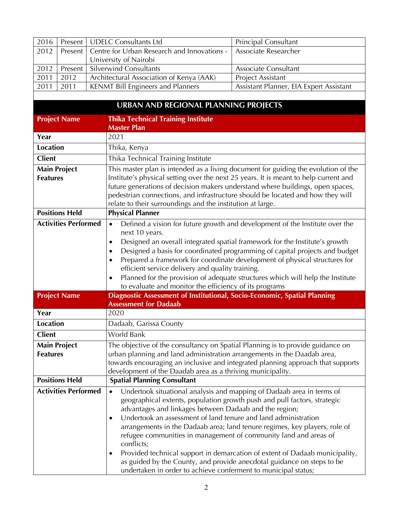|      |                                          | <b>Principal Consultant</b>                                                                                                         |
|------|------------------------------------------|-------------------------------------------------------------------------------------------------------------------------------------|
|      |                                          | Associate Researcher                                                                                                                |
|      | University of Nairobi                    |                                                                                                                                     |
|      |                                          | Associate Consultant                                                                                                                |
| 2012 | Architectural Association of Kenya (AAK) | <b>Project Assistant</b>                                                                                                            |
| 2011 | <b>KENMT Bill Engineers and Planners</b> | Assistant Planner, EIA Expert Assistant                                                                                             |
|      |                                          | 2016   Present   UDELC Consultants Ltd<br>Present   Centre for Urban Research and Innovations -<br>Present   Silverwind Consultants |

|                                        | <b>URBAN AND REGIONAL PLANNING PROJECTS</b>                                                                                                                                                                                                                                                                                                                                                                                                                                                                                                                                                                                                                                                             |
|----------------------------------------|---------------------------------------------------------------------------------------------------------------------------------------------------------------------------------------------------------------------------------------------------------------------------------------------------------------------------------------------------------------------------------------------------------------------------------------------------------------------------------------------------------------------------------------------------------------------------------------------------------------------------------------------------------------------------------------------------------|
| <b>Project Name</b>                    | <b>Thika Technical Training Institute</b>                                                                                                                                                                                                                                                                                                                                                                                                                                                                                                                                                                                                                                                               |
|                                        | <b>Master Plan</b>                                                                                                                                                                                                                                                                                                                                                                                                                                                                                                                                                                                                                                                                                      |
| Year                                   | 2021                                                                                                                                                                                                                                                                                                                                                                                                                                                                                                                                                                                                                                                                                                    |
| <b>Location</b>                        | Thika, Kenya                                                                                                                                                                                                                                                                                                                                                                                                                                                                                                                                                                                                                                                                                            |
| <b>Client</b>                          | Thika Technical Training Institute                                                                                                                                                                                                                                                                                                                                                                                                                                                                                                                                                                                                                                                                      |
| <b>Main Project</b><br><b>Features</b> | This master plan is intended as a living document for guiding the evolution of the<br>Institute's physical setting over the next 25 years. It is meant to help current and<br>future generations of decision makers understand where buildings, open spaces,<br>pedestrian connections, and infrastructure should be located and how they will<br>relate to their surroundings and the institution at large.                                                                                                                                                                                                                                                                                            |
| <b>Positions Held</b>                  | <b>Physical Planner</b>                                                                                                                                                                                                                                                                                                                                                                                                                                                                                                                                                                                                                                                                                 |
| <b>Activities Performed</b>            | Defined a vision for future growth and development of the Institute over the<br>$\bullet$<br>next 10 years.<br>Designed an overall integrated spatial framework for the Institute's growth<br>$\bullet$<br>Designed a basis for coordinated programming of capital projects and budget<br>$\bullet$<br>Prepared a framework for coordinate development of physical structures for<br>$\bullet$<br>efficient service delivery and quality training.<br>Planned for the provision of adequate structures which will help the Institute<br>to evaluate and monitor the efficiency of its programs                                                                                                          |
| <b>Project Name</b>                    | Diagnostic Assessment of Institutional, Socio-Economic, Spatial Planning                                                                                                                                                                                                                                                                                                                                                                                                                                                                                                                                                                                                                                |
|                                        | <b>Assessment for Dadaab</b>                                                                                                                                                                                                                                                                                                                                                                                                                                                                                                                                                                                                                                                                            |
| Year                                   | 2020                                                                                                                                                                                                                                                                                                                                                                                                                                                                                                                                                                                                                                                                                                    |
| <b>Location</b>                        | Dadaab, Garissa County                                                                                                                                                                                                                                                                                                                                                                                                                                                                                                                                                                                                                                                                                  |
| <b>Client</b>                          | World Bank                                                                                                                                                                                                                                                                                                                                                                                                                                                                                                                                                                                                                                                                                              |
| <b>Main Project</b><br><b>Features</b> | The objective of the consultancy on Spatial Planning is to provide guidance on<br>urban planning and land administration arrangements in the Daadab area,<br>towards encouraging an inclusive and integrated planning approach that supports<br>development of the Daadab area as a thriving municipality.                                                                                                                                                                                                                                                                                                                                                                                              |
| <b>Positions Held</b>                  | <b>Spatial Planning Consultant</b>                                                                                                                                                                                                                                                                                                                                                                                                                                                                                                                                                                                                                                                                      |
| <b>Activities Performed</b>            | Undertook situational analysis and mapping of Dadaab area in terms of<br>$\bullet$<br>geographical extents, population growth push and pull factors, strategic<br>advantages and linkages between Dadaab and the region;<br>Undertook an assessment of land tenure and land administration<br>$\bullet$<br>arrangements in the Dadaab area; land tenure regimes, key players, role of<br>refugee communities in management of community land and areas of<br>conflicts;<br>Provided technical support in demarcation of extent of Dadaab municipality,<br>٠<br>as guided by the County, and provide anecdotal guidance on steps to be<br>undertaken in order to achieve conferment to municipal status; |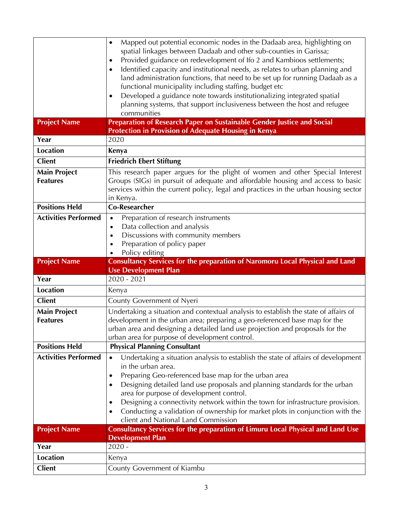|                                  | Mapped out potential economic nodes in the Dadaab area, highlighting on<br>$\bullet$<br>spatial linkages between Dadaab and other sub-counties in Garissa;           |
|----------------------------------|----------------------------------------------------------------------------------------------------------------------------------------------------------------------|
|                                  | Provided guidance on redevelopment of Ifo 2 and Kambioos settlements;                                                                                                |
|                                  | Identified capacity and institutional needs, as relates to urban planning and<br>$\bullet$                                                                           |
|                                  | land administration functions, that need to be set up for running Dadaab as a                                                                                        |
|                                  | functional municipality including staffing, budget etc                                                                                                               |
|                                  | Developed a guidance note towards institutionalizing integrated spatial<br>$\bullet$                                                                                 |
|                                  | planning systems, that support inclusiveness between the host and refugee                                                                                            |
|                                  | communities                                                                                                                                                          |
| <b>Project Name</b>              | Preparation of Research Paper on Sustainable Gender Justice and Social                                                                                               |
|                                  | <b>Protection in Provision of Adequate Housing in Kenya</b>                                                                                                          |
| Year                             | 2020                                                                                                                                                                 |
| <b>Location</b>                  | Kenya                                                                                                                                                                |
| <b>Client</b>                    | <b>Friedrich Ebert Stiftung</b>                                                                                                                                      |
| <b>Main Project</b>              | This research paper argues for the plight of women and other Special Interest                                                                                        |
| <b>Features</b>                  | Groups (SIGs) in pursuit of adequate and affordable housing and access to basic                                                                                      |
|                                  | services within the current policy, legal and practices in the urban housing sector                                                                                  |
|                                  | in Kenya.                                                                                                                                                            |
| <b>Positions Held</b>            | <b>Co-Researcher</b>                                                                                                                                                 |
| <b>Activities Performed</b>      | Preparation of research instruments<br>$\bullet$                                                                                                                     |
|                                  | Data collection and analysis<br>$\bullet$<br>Discussions with community members                                                                                      |
|                                  | $\bullet$<br>Preparation of policy paper<br>$\bullet$                                                                                                                |
|                                  | Policy editing                                                                                                                                                       |
|                                  |                                                                                                                                                                      |
| <b>Project Name</b>              |                                                                                                                                                                      |
|                                  | Consultancy Services for the preparation of Naromoru Local Physical and Land<br><b>Use Development Plan</b>                                                          |
| Year                             | 2020 - 2021                                                                                                                                                          |
| <b>Location</b>                  | Kenya                                                                                                                                                                |
| <b>Client</b>                    | County Government of Nyeri                                                                                                                                           |
| <b>Main Project</b>              | Undertaking a situation and contextual analysis to establish the state of affairs of                                                                                 |
| <b>Features</b>                  | development in the urban area; preparing a geo-referenced base map for the                                                                                           |
|                                  | urban area and designing a detailed land use projection and proposals for the                                                                                        |
|                                  | urban area for purpose of development control.                                                                                                                       |
| <b>Positions Held</b>            | <b>Physical Planning Consultant</b>                                                                                                                                  |
| <b>Activities Performed</b>      | Undertaking a situation analysis to establish the state of affairs of development<br>$\bullet$                                                                       |
|                                  | in the urban area.                                                                                                                                                   |
|                                  | Preparing Geo-referenced base map for the urban area<br>٠                                                                                                            |
|                                  | Designing detailed land use proposals and planning standards for the urban                                                                                           |
|                                  | area for purpose of development control.<br>٠                                                                                                                        |
|                                  | Designing a connectivity network within the town for infrastructure provision.<br>Conducting a validation of ownership for market plots in conjunction with the<br>٠ |
|                                  | client and National Land Commission                                                                                                                                  |
| <b>Project Name</b>              | Consultancy Services for the preparation of Limuru Local Physical and Land Use                                                                                       |
|                                  | <b>Development Plan</b>                                                                                                                                              |
| Year                             | $2020 -$                                                                                                                                                             |
| <b>Location</b><br><b>Client</b> | Kenya<br>County Government of Kiambu                                                                                                                                 |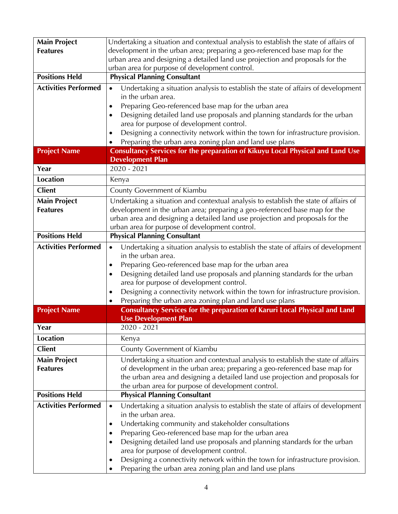| Undertaking a situation and contextual analysis to establish the state of affairs of                                                                        |
|-------------------------------------------------------------------------------------------------------------------------------------------------------------|
| development in the urban area; preparing a geo-referenced base map for the                                                                                  |
| urban area and designing a detailed land use projection and proposals for the                                                                               |
| urban area for purpose of development control.                                                                                                              |
| <b>Physical Planning Consultant</b>                                                                                                                         |
| Undertaking a situation analysis to establish the state of affairs of development<br>$\bullet$                                                              |
| in the urban area.                                                                                                                                          |
| Preparing Geo-referenced base map for the urban area<br>$\bullet$                                                                                           |
| Designing detailed land use proposals and planning standards for the urban                                                                                  |
| area for purpose of development control.                                                                                                                    |
| Designing a connectivity network within the town for infrastructure provision.                                                                              |
| Preparing the urban area zoning plan and land use plans                                                                                                     |
| Consultancy Services for the preparation of Kikuyu Local Physical and Land Use<br><b>Development Plan</b>                                                   |
| 2020 - 2021                                                                                                                                                 |
| Kenya                                                                                                                                                       |
|                                                                                                                                                             |
| County Government of Kiambu                                                                                                                                 |
| Undertaking a situation and contextual analysis to establish the state of affairs of                                                                        |
| development in the urban area; preparing a geo-referenced base map for the<br>urban area and designing a detailed land use projection and proposals for the |
| urban area for purpose of development control.                                                                                                              |
| <b>Physical Planning Consultant</b>                                                                                                                         |
| Undertaking a situation analysis to establish the state of affairs of development<br>$\bullet$                                                              |
| in the urban area.                                                                                                                                          |
| Preparing Geo-referenced base map for the urban area                                                                                                        |
| Designing detailed land use proposals and planning standards for the urban                                                                                  |
| area for purpose of development control.                                                                                                                    |
| Designing a connectivity network within the town for infrastructure provision.<br>$\bullet$                                                                 |
| Preparing the urban area zoning plan and land use plans                                                                                                     |
| Consultancy Services for the preparation of Karuri Local Physical and Land                                                                                  |
| <b>Use Development Plan</b>                                                                                                                                 |
| 2020 - 2021                                                                                                                                                 |
| Kenya                                                                                                                                                       |
| County Government of Kiambu                                                                                                                                 |
| Undertaking a situation and contextual analysis to establish the state of affairs                                                                           |
| of development in the urban area; preparing a geo-referenced base map for                                                                                   |
| the urban area and designing a detailed land use projection and proposals for                                                                               |
| the urban area for purpose of development control.                                                                                                          |
| <b>Physical Planning Consultant</b>                                                                                                                         |
| Undertaking a situation analysis to establish the state of affairs of development<br>$\bullet$                                                              |
| in the urban area.                                                                                                                                          |
| Undertaking community and stakeholder consultations<br>٠                                                                                                    |
| Preparing Geo-referenced base map for the urban area                                                                                                        |
| Designing detailed land use proposals and planning standards for the urban<br>area for purpose of development control.                                      |
| Designing a connectivity network within the town for infrastructure provision.                                                                              |
| Preparing the urban area zoning plan and land use plans                                                                                                     |
|                                                                                                                                                             |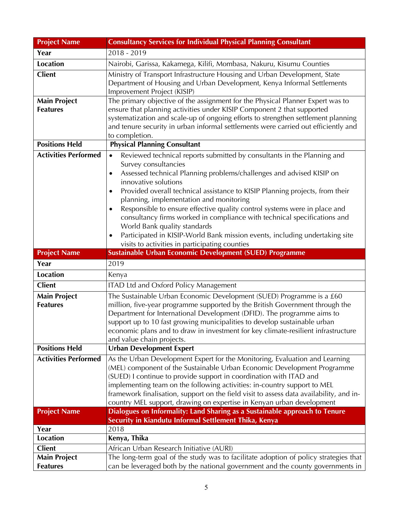| <b>Project Name</b>                    | <b>Consultancy Services for Individual Physical Planning Consultant</b>                                                                                                                                                                                                                                                                                                                                                                                                                                                                                                                                                                                                               |
|----------------------------------------|---------------------------------------------------------------------------------------------------------------------------------------------------------------------------------------------------------------------------------------------------------------------------------------------------------------------------------------------------------------------------------------------------------------------------------------------------------------------------------------------------------------------------------------------------------------------------------------------------------------------------------------------------------------------------------------|
| Year                                   | 2018 - 2019                                                                                                                                                                                                                                                                                                                                                                                                                                                                                                                                                                                                                                                                           |
| <b>Location</b>                        | Nairobi, Garissa, Kakamega, Kilifi, Mombasa, Nakuru, Kisumu Counties                                                                                                                                                                                                                                                                                                                                                                                                                                                                                                                                                                                                                  |
| <b>Client</b>                          | Ministry of Transport Infrastructure Housing and Urban Development, State<br>Department of Housing and Urban Development, Kenya Informal Settlements<br>Improvement Project (KISIP)                                                                                                                                                                                                                                                                                                                                                                                                                                                                                                   |
| <b>Main Project</b><br><b>Features</b> | The primary objective of the assignment for the Physical Planner Expert was to<br>ensure that planning activities under KISIP Component 2 that supported<br>systematization and scale-up of ongoing efforts to strengthen settlement planning<br>and tenure security in urban informal settlements were carried out efficiently and<br>to completion.                                                                                                                                                                                                                                                                                                                                 |
| <b>Positions Held</b>                  | <b>Physical Planning Consultant</b>                                                                                                                                                                                                                                                                                                                                                                                                                                                                                                                                                                                                                                                   |
| <b>Activities Performed</b>            | Reviewed technical reports submitted by consultants in the Planning and<br>$\bullet$<br>Survey consultancies<br>Assessed technical Planning problems/challenges and advised KISIP on<br>٠<br>innovative solutions<br>Provided overall technical assistance to KISIP Planning projects, from their<br>٠<br>planning, implementation and monitoring<br>Responsible to ensure effective quality control systems were in place and<br>٠<br>consultancy firms worked in compliance with technical specifications and<br>World Bank quality standards<br>Participated in KISIP-World Bank mission events, including undertaking site<br>٠<br>visits to activities in participating counties |
|                                        |                                                                                                                                                                                                                                                                                                                                                                                                                                                                                                                                                                                                                                                                                       |
|                                        |                                                                                                                                                                                                                                                                                                                                                                                                                                                                                                                                                                                                                                                                                       |
| <b>Project Name</b><br>Year            | Sustainable Urban Economic Development (SUED) Programme<br>2019                                                                                                                                                                                                                                                                                                                                                                                                                                                                                                                                                                                                                       |
| <b>Location</b>                        | Kenya                                                                                                                                                                                                                                                                                                                                                                                                                                                                                                                                                                                                                                                                                 |
| <b>Client</b>                          |                                                                                                                                                                                                                                                                                                                                                                                                                                                                                                                                                                                                                                                                                       |
| <b>Main Project</b><br><b>Features</b> | <b>ITAD Ltd and Oxford Policy Management</b><br>The Sustainable Urban Economic Development (SUED) Programme is a £60<br>million, five-year programme supported by the British Government through the<br>Department for International Development (DFID). The programme aims to<br>support up to 10 fast growing municipalities to develop sustainable urban<br>economic plans and to draw in investment for key climate-resilient infrastructure<br>and value chain projects.                                                                                                                                                                                                         |
| <b>Positions Held</b>                  | <b>Urban Development Expert</b>                                                                                                                                                                                                                                                                                                                                                                                                                                                                                                                                                                                                                                                       |
| <b>Activities Performed</b>            | As the Urban Development Expert for the Monitoring, Evaluation and Learning<br>(MEL) component of the Sustainable Urban Economic Development Programme<br>(SUED) I continue to provide support in coordination with ITAD and<br>implementing team on the following activities: in-country support to MEL<br>framework finalisation, support on the field visit to assess data availability, and in-<br>country MEL support, drawing on expertise in Kenyan urban development                                                                                                                                                                                                          |
| <b>Project Name</b>                    | Dialogues on Informality: Land Sharing as a Sustainable approach to Tenure                                                                                                                                                                                                                                                                                                                                                                                                                                                                                                                                                                                                            |
|                                        | Security in Kiandutu Informal Settlement Thika, Kenya                                                                                                                                                                                                                                                                                                                                                                                                                                                                                                                                                                                                                                 |
| Year                                   | 2018                                                                                                                                                                                                                                                                                                                                                                                                                                                                                                                                                                                                                                                                                  |
| <b>Location</b>                        | Kenya, Thika                                                                                                                                                                                                                                                                                                                                                                                                                                                                                                                                                                                                                                                                          |
| <b>Client</b><br><b>Main Project</b>   | African Urban Research Initiative (AURI)<br>The long-term goal of the study was to facilitate adoption of policy strategies that                                                                                                                                                                                                                                                                                                                                                                                                                                                                                                                                                      |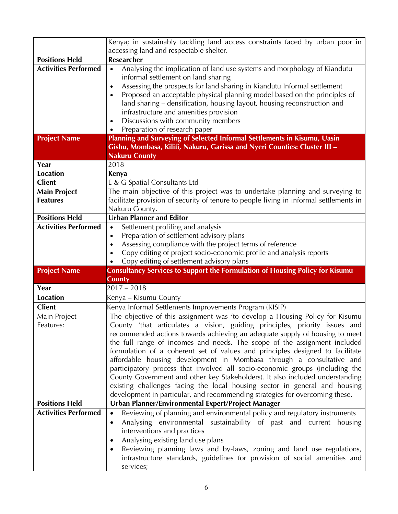|                             | Kenya; in sustainably tackling land access constraints faced by urban poor in                                                                         |  |  |
|-----------------------------|-------------------------------------------------------------------------------------------------------------------------------------------------------|--|--|
|                             | accessing land and respectable shelter.                                                                                                               |  |  |
| <b>Positions Held</b>       | <b>Researcher</b>                                                                                                                                     |  |  |
| <b>Activities Performed</b> | Analysing the implication of land use systems and morphology of Kiandutu<br>$\bullet$                                                                 |  |  |
|                             | informal settlement on land sharing                                                                                                                   |  |  |
|                             | Assessing the prospects for land sharing in Kiandutu Informal settlement<br>$\bullet$                                                                 |  |  |
|                             | Proposed an acceptable physical planning model based on the principles of<br>$\bullet$                                                                |  |  |
|                             | land sharing - densification, housing layout, housing reconstruction and                                                                              |  |  |
|                             | infrastructure and amenities provision                                                                                                                |  |  |
|                             | Discussions with community members<br>$\bullet$                                                                                                       |  |  |
| <b>Project Name</b>         | Preparation of research paper                                                                                                                         |  |  |
|                             | Planning and Surveying of Selected Informal Settlements in Kisumu, Uasin<br>Gishu, Mombasa, Kilifi, Nakuru, Garissa and Nyeri Counties: Cluster III - |  |  |
|                             | <b>Nakuru County</b>                                                                                                                                  |  |  |
| Year                        | 2018                                                                                                                                                  |  |  |
| <b>Location</b>             | Kenya                                                                                                                                                 |  |  |
| <b>Client</b>               | E & G Spatial Consultants Ltd                                                                                                                         |  |  |
| <b>Main Project</b>         | The main objective of this project was to undertake planning and surveying to                                                                         |  |  |
| <b>Features</b>             | facilitate provision of security of tenure to people living in informal settlements in                                                                |  |  |
|                             | Nakuru County.                                                                                                                                        |  |  |
| <b>Positions Held</b>       | <b>Urban Planner and Editor</b>                                                                                                                       |  |  |
| <b>Activities Performed</b> | Settlement profiling and analysis<br>$\bullet$                                                                                                        |  |  |
|                             | Preparation of settlement advisory plans<br>$\bullet$                                                                                                 |  |  |
|                             | Assessing compliance with the project terms of reference<br>$\bullet$                                                                                 |  |  |
|                             |                                                                                                                                                       |  |  |
|                             | Copy editing of project socio-economic profile and analysis reports<br>$\bullet$                                                                      |  |  |
|                             | Copy editing of settlement advisory plans                                                                                                             |  |  |
| <b>Project Name</b>         | <b>Consultancy Services to Support the Formulation of Housing Policy for Kisumu</b>                                                                   |  |  |
|                             | <b>County</b>                                                                                                                                         |  |  |
| Year                        | $2017 - 2018$                                                                                                                                         |  |  |
| <b>Location</b>             | Kenya – Kisumu County                                                                                                                                 |  |  |
| <b>Client</b>               | Kenya Informal Settlements Improvements Program (KISIP)                                                                                               |  |  |
| Main Project                | The objective of this assignment was 'to develop a Housing Policy for Kisumu                                                                          |  |  |
| Features:                   | County 'that articulates a vision, guiding principles, priority issues and                                                                            |  |  |
|                             | recommended actions towards achieving an adequate supply of housing to meet                                                                           |  |  |
|                             | the full range of incomes and needs. The scope of the assignment included                                                                             |  |  |
|                             | formulation of a coherent set of values and principles designed to facilitate<br>affordable housing development in Mombasa through a consultative and |  |  |
|                             | participatory process that involved all socio-economic groups (including the                                                                          |  |  |
|                             | County Government and other key Stakeholders). It also included understanding                                                                         |  |  |
|                             | existing challenges facing the local housing sector in general and housing                                                                            |  |  |
|                             | development in particular, and recommending strategies for overcoming these.                                                                          |  |  |
| <b>Positions Held</b>       | Urban Planner/Environmental Expert/Project Manager                                                                                                    |  |  |
| <b>Activities Performed</b> | Reviewing of planning and environmental policy and regulatory instruments<br>$\bullet$                                                                |  |  |
|                             | Analysing environmental sustainability of past and current housing<br>$\bullet$                                                                       |  |  |
|                             | interventions and practices                                                                                                                           |  |  |
|                             | Analysing existing land use plans<br>٠                                                                                                                |  |  |
|                             | Reviewing planning laws and by-laws, zoning and land use regulations,<br>٠                                                                            |  |  |
|                             | infrastructure standards, guidelines for provision of social amenities and<br>services;                                                               |  |  |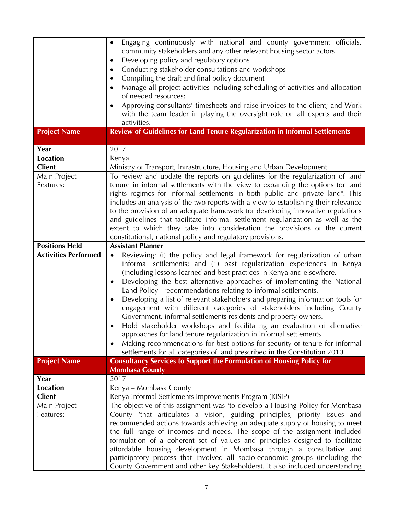|                             | Engaging continuously with national and county government officials,<br>$\bullet$<br>community stakeholders and any other relevant housing sector actors<br>Developing policy and regulatory options<br>٠<br>Conducting stakeholder consultations and workshops<br>٠                                                                                                                                                                                                                                                                                                |
|-----------------------------|---------------------------------------------------------------------------------------------------------------------------------------------------------------------------------------------------------------------------------------------------------------------------------------------------------------------------------------------------------------------------------------------------------------------------------------------------------------------------------------------------------------------------------------------------------------------|
|                             | Compiling the draft and final policy document<br>$\bullet$                                                                                                                                                                                                                                                                                                                                                                                                                                                                                                          |
|                             | Manage all project activities including scheduling of activities and allocation                                                                                                                                                                                                                                                                                                                                                                                                                                                                                     |
|                             | of needed resources;                                                                                                                                                                                                                                                                                                                                                                                                                                                                                                                                                |
|                             | Approving consultants' timesheets and raise invoices to the client; and Work<br>$\bullet$                                                                                                                                                                                                                                                                                                                                                                                                                                                                           |
|                             | with the team leader in playing the oversight role on all experts and their                                                                                                                                                                                                                                                                                                                                                                                                                                                                                         |
|                             | activities.                                                                                                                                                                                                                                                                                                                                                                                                                                                                                                                                                         |
| <b>Project Name</b>         | Review of Guidelines for Land Tenure Regularization in Informal Settlements                                                                                                                                                                                                                                                                                                                                                                                                                                                                                         |
|                             |                                                                                                                                                                                                                                                                                                                                                                                                                                                                                                                                                                     |
| Year                        | 2017                                                                                                                                                                                                                                                                                                                                                                                                                                                                                                                                                                |
| Location                    | Kenya                                                                                                                                                                                                                                                                                                                                                                                                                                                                                                                                                               |
| <b>Client</b>               | Ministry of Transport, Infrastructure, Housing and Urban Development                                                                                                                                                                                                                                                                                                                                                                                                                                                                                                |
| Main Project<br>Features:   | To review and update the reports on guidelines for the regularization of land<br>tenure in informal settlements with the view to expanding the options for land                                                                                                                                                                                                                                                                                                                                                                                                     |
|                             | rights regimes for informal settlements in both public and private land". This                                                                                                                                                                                                                                                                                                                                                                                                                                                                                      |
|                             | includes an analysis of the two reports with a view to establishing their relevance                                                                                                                                                                                                                                                                                                                                                                                                                                                                                 |
|                             | to the provision of an adequate framework for developing innovative regulations                                                                                                                                                                                                                                                                                                                                                                                                                                                                                     |
|                             | and guidelines that facilitate informal settlement regularization as well as the                                                                                                                                                                                                                                                                                                                                                                                                                                                                                    |
|                             | extent to which they take into consideration the provisions of the current                                                                                                                                                                                                                                                                                                                                                                                                                                                                                          |
|                             | constitutional, national policy and regulatory provisions.                                                                                                                                                                                                                                                                                                                                                                                                                                                                                                          |
| <b>Positions Held</b>       | <b>Assistant Planner</b>                                                                                                                                                                                                                                                                                                                                                                                                                                                                                                                                            |
| <b>Activities Performed</b> | Reviewing: (i) the policy and legal framework for regularization of urban<br>$\bullet$<br>informal settlements; and (ii) past regularization experiences in Kenya<br>(including lessons learned and best practices in Kenya and elsewhere.<br>Developing the best alternative approaches of implementing the National<br>٠<br>Land Policy recommendations relating to informal settlements.<br>Developing a list of relevant stakeholders and preparing information tools for<br>$\bullet$<br>engagement with different categories of stakeholders including County |
|                             | Government, informal settlements residents and property owners.<br>Hold stakeholder workshops and facilitating an evaluation of alternative                                                                                                                                                                                                                                                                                                                                                                                                                         |
|                             | approaches for land tenure regularization in Informal settlements                                                                                                                                                                                                                                                                                                                                                                                                                                                                                                   |
|                             | Making recommendations for best options for security of tenure for informal<br>$\bullet$                                                                                                                                                                                                                                                                                                                                                                                                                                                                            |
|                             | settlements for all categories of land prescribed in the Constitution 2010                                                                                                                                                                                                                                                                                                                                                                                                                                                                                          |
| <b>Project Name</b>         | <b>Consultancy Services to Support the Formulation of Housing Policy for</b>                                                                                                                                                                                                                                                                                                                                                                                                                                                                                        |
|                             | <b>Mombasa County</b><br>2017                                                                                                                                                                                                                                                                                                                                                                                                                                                                                                                                       |
| Year<br>Location            |                                                                                                                                                                                                                                                                                                                                                                                                                                                                                                                                                                     |
| <b>Client</b>               | Kenya – Mombasa County<br>Kenya Informal Settlements Improvements Program (KISIP)                                                                                                                                                                                                                                                                                                                                                                                                                                                                                   |
| Main Project                | The objective of this assignment was 'to develop a Housing Policy for Mombasa                                                                                                                                                                                                                                                                                                                                                                                                                                                                                       |
| Features:                   | County 'that articulates a vision, guiding principles, priority issues and                                                                                                                                                                                                                                                                                                                                                                                                                                                                                          |
|                             | recommended actions towards achieving an adequate supply of housing to meet                                                                                                                                                                                                                                                                                                                                                                                                                                                                                         |
|                             | the full range of incomes and needs. The scope of the assignment included                                                                                                                                                                                                                                                                                                                                                                                                                                                                                           |
|                             | formulation of a coherent set of values and principles designed to facilitate                                                                                                                                                                                                                                                                                                                                                                                                                                                                                       |
|                             | affordable housing development in Mombasa through a consultative and                                                                                                                                                                                                                                                                                                                                                                                                                                                                                                |
|                             | participatory process that involved all socio-economic groups (including the                                                                                                                                                                                                                                                                                                                                                                                                                                                                                        |
|                             | County Government and other key Stakeholders). It also included understanding                                                                                                                                                                                                                                                                                                                                                                                                                                                                                       |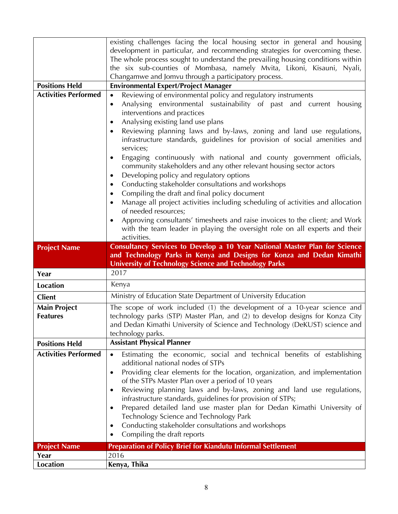|                             | existing challenges facing the local housing sector in general and housing                                                                                        |
|-----------------------------|-------------------------------------------------------------------------------------------------------------------------------------------------------------------|
|                             | development in particular, and recommending strategies for overcoming these.<br>The whole process sought to understand the prevailing housing conditions within   |
|                             | the six sub-counties of Mombasa, namely Mvita, Likoni, Kisauni, Nyali,                                                                                            |
|                             | Changamwe and Jomvu through a participatory process.                                                                                                              |
| <b>Positions Held</b>       | <b>Environmental Expert/Project Manager</b>                                                                                                                       |
| <b>Activities Performed</b> | Reviewing of environmental policy and regulatory instruments<br>$\bullet$                                                                                         |
|                             | Analysing environmental sustainability of past and current housing<br>$\bullet$                                                                                   |
|                             | interventions and practices                                                                                                                                       |
|                             | Analysing existing land use plans<br>٠                                                                                                                            |
|                             | Reviewing planning laws and by-laws, zoning and land use regulations,<br>$\bullet$                                                                                |
|                             | infrastructure standards, guidelines for provision of social amenities and                                                                                        |
|                             | services;                                                                                                                                                         |
|                             | Engaging continuously with national and county government officials,<br>$\bullet$<br>community stakeholders and any other relevant housing sector actors          |
|                             | Developing policy and regulatory options<br>٠                                                                                                                     |
|                             | Conducting stakeholder consultations and workshops<br>٠                                                                                                           |
|                             | Compiling the draft and final policy document<br>٠                                                                                                                |
|                             | Manage all project activities including scheduling of activities and allocation                                                                                   |
|                             | of needed resources;                                                                                                                                              |
|                             | Approving consultants' timesheets and raise invoices to the client; and Work<br>$\bullet$                                                                         |
|                             | with the team leader in playing the oversight role on all experts and their                                                                                       |
|                             | activities.                                                                                                                                                       |
| <b>Project Name</b>         | Consultancy Services to Develop a 10 Year National Master Plan for Science                                                                                        |
|                             |                                                                                                                                                                   |
|                             | and Technology Parks in Kenya and Designs for Konza and Dedan Kimathi                                                                                             |
|                             | <b>University of Technology Science and Technology Parks</b>                                                                                                      |
| Year                        | 2017                                                                                                                                                              |
| <b>Location</b>             | Kenya                                                                                                                                                             |
| <b>Client</b>               | Ministry of Education State Department of University Education                                                                                                    |
| <b>Main Project</b>         | The scope of work included (1) the development of a 10-year science and                                                                                           |
| <b>Features</b>             | technology parks (STP) Master Plan, and (2) to develop designs for Konza City                                                                                     |
|                             |                                                                                                                                                                   |
| <b>Positions Held</b>       | technology parks.<br><b>Assistant Physical Planner</b>                                                                                                            |
| <b>Activities Performed</b> | $\bullet$                                                                                                                                                         |
|                             | Estimating the economic, social and technical benefits of establishing<br>additional national nodes of STPs                                                       |
|                             | Providing clear elements for the location, organization, and implementation<br>$\bullet$                                                                          |
|                             | of the STPs Master Plan over a period of 10 years                                                                                                                 |
|                             | and Dedan Kimathi University of Science and Technology (DeKUST) science and<br>Reviewing planning laws and by-laws, zoning and land use regulations,<br>$\bullet$ |
|                             | infrastructure standards, guidelines for provision of STPs;                                                                                                       |
|                             | Prepared detailed land use master plan for Dedan Kimathi University of<br>$\bullet$                                                                               |
|                             | Technology Science and Technology Park                                                                                                                            |
|                             | Conducting stakeholder consultations and workshops<br>$\bullet$                                                                                                   |
|                             | Compiling the draft reports                                                                                                                                       |
| <b>Project Name</b><br>Year | <b>Preparation of Policy Brief for Kiandutu Informal Settlement</b><br>2016                                                                                       |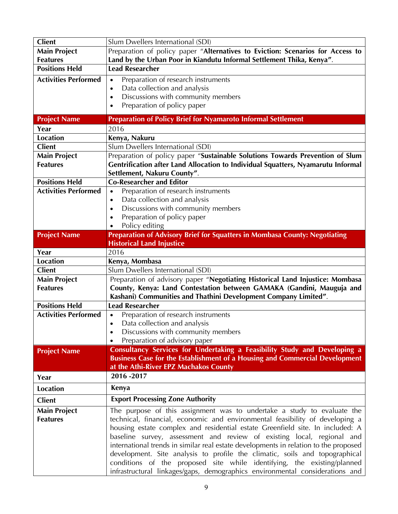| <b>Client</b>                    | Slum Dwellers International (SDI)                                                                                                                                 |
|----------------------------------|-------------------------------------------------------------------------------------------------------------------------------------------------------------------|
| <b>Main Project</b>              | Preparation of policy paper "Alternatives to Eviction: Scenarios for Access to                                                                                    |
| <b>Features</b>                  | Land by the Urban Poor in Kiandutu Informal Settlement Thika, Kenya".                                                                                             |
| <b>Positions Held</b>            | <b>Lead Researcher</b>                                                                                                                                            |
| <b>Activities Performed</b>      | Preparation of research instruments<br>$\bullet$                                                                                                                  |
|                                  | Data collection and analysis<br>$\bullet$                                                                                                                         |
|                                  | Discussions with community members<br>$\bullet$                                                                                                                   |
|                                  | Preparation of policy paper<br>٠                                                                                                                                  |
|                                  |                                                                                                                                                                   |
| <b>Project Name</b>              | <b>Preparation of Policy Brief for Nyamaroto Informal Settlement</b>                                                                                              |
| Year                             | 2016                                                                                                                                                              |
| <b>Location</b><br><b>Client</b> | Kenya, Nakuru<br>Slum Dwellers International (SDI)                                                                                                                |
| <b>Main Project</b>              |                                                                                                                                                                   |
| <b>Features</b>                  | Preparation of policy paper "Sustainable Solutions Towards Prevention of Slum<br>Gentrification after Land Allocation to Individual Squatters, Nyamarutu Informal |
|                                  | Settlement, Nakuru County".                                                                                                                                       |
| <b>Positions Held</b>            | <b>Co-Researcher and Editor</b>                                                                                                                                   |
| <b>Activities Performed</b>      | Preparation of research instruments<br>$\bullet$                                                                                                                  |
|                                  | Data collection and analysis<br>$\bullet$                                                                                                                         |
|                                  | Discussions with community members<br>٠                                                                                                                           |
|                                  | Preparation of policy paper<br>٠                                                                                                                                  |
|                                  | Policy editing<br>$\bullet$                                                                                                                                       |
| <b>Project Name</b>              | Preparation of Advisory Brief for Squatters in Mombasa County: Negotiating                                                                                        |
|                                  | <b>Historical Land Injustice</b>                                                                                                                                  |
| Year                             | 2016                                                                                                                                                              |
| <b>Location</b>                  | Kenya, Mombasa                                                                                                                                                    |
| <b>Client</b>                    | Slum Dwellers International (SDI)                                                                                                                                 |
| <b>Main Project</b>              | Preparation of advisory paper "Negotiating Historical Land Injustice: Mombasa                                                                                     |
| <b>Features</b>                  | County, Kenya: Land Contestation between GAMAKA (Gandini, Mauguja and                                                                                             |
|                                  | Kashani) Communities and Thathini Development Company Limited".                                                                                                   |
| <b>Positions Held</b>            | <b>Lead Researcher</b>                                                                                                                                            |
| <b>Activities Performed</b>      | Preparation of research instruments<br>$\bullet$                                                                                                                  |
|                                  | Data collection and analysis<br>$\bullet$                                                                                                                         |
|                                  | Discussions with community members<br>٠                                                                                                                           |
|                                  | Preparation of advisory paper                                                                                                                                     |
| <b>Project Name</b>              | Consultancy Services for Undertaking a Feasibility Study and Developing a                                                                                         |
|                                  | Business Case for the Establishment of a Housing and Commercial Development                                                                                       |
|                                  | at the Athi-River EPZ Machakos County                                                                                                                             |
| Year                             | 2016 - 2017                                                                                                                                                       |
| <b>Location</b>                  | Kenya                                                                                                                                                             |
| <b>Client</b>                    | <b>Export Processing Zone Authority</b>                                                                                                                           |
| <b>Main Project</b>              | The purpose of this assignment was to undertake a study to evaluate the                                                                                           |
| <b>Features</b>                  | technical, financial, economic and environmental feasibility of developing a                                                                                      |
|                                  | housing estate complex and residential estate Greenfield site. In included: A                                                                                     |
|                                  | baseline survey, assessment and review of existing local, regional and                                                                                            |
|                                  | international trends in similar real estate developments in relation to the proposed                                                                              |
|                                  | development. Site analysis to profile the climatic, soils and topographical                                                                                       |
|                                  | conditions of the proposed site while identifying, the existing/planned                                                                                           |
|                                  | infrastructural linkages/gaps, demographics environmental considerations and                                                                                      |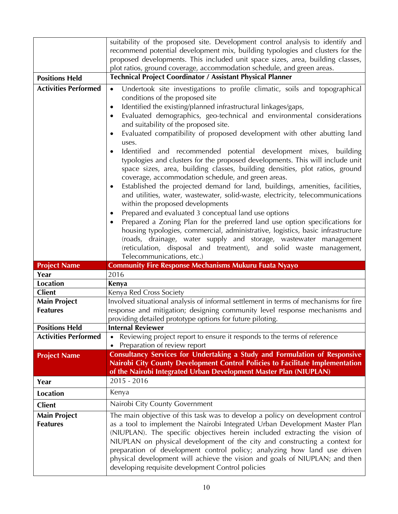|                             | suitability of the proposed site. Development control analysis to identify and<br>recommend potential development mix, building typologies and clusters for the                                                                                                                                                                                                                                                                                                                                                            |
|-----------------------------|----------------------------------------------------------------------------------------------------------------------------------------------------------------------------------------------------------------------------------------------------------------------------------------------------------------------------------------------------------------------------------------------------------------------------------------------------------------------------------------------------------------------------|
|                             | proposed developments. This included unit space sizes, area, building classes,                                                                                                                                                                                                                                                                                                                                                                                                                                             |
|                             | plot ratios, ground coverage, accommodation schedule, and green areas.                                                                                                                                                                                                                                                                                                                                                                                                                                                     |
| <b>Positions Held</b>       | Technical Project Coordinator / Assistant Physical Planner                                                                                                                                                                                                                                                                                                                                                                                                                                                                 |
| <b>Activities Performed</b> | Undertook site investigations to profile climatic, soils and topographical<br>$\bullet$                                                                                                                                                                                                                                                                                                                                                                                                                                    |
|                             | conditions of the proposed site                                                                                                                                                                                                                                                                                                                                                                                                                                                                                            |
|                             | Identified the existing/planned infrastructural linkages/gaps,<br>$\bullet$                                                                                                                                                                                                                                                                                                                                                                                                                                                |
|                             | Evaluated demographics, geo-technical and environmental considerations<br>$\bullet$<br>and suitability of the proposed site.                                                                                                                                                                                                                                                                                                                                                                                               |
|                             | Evaluated compatibility of proposed development with other abutting land<br>$\bullet$                                                                                                                                                                                                                                                                                                                                                                                                                                      |
|                             | uses.                                                                                                                                                                                                                                                                                                                                                                                                                                                                                                                      |
|                             | Identified<br>and recommended potential development mixes, building<br>$\bullet$<br>typologies and clusters for the proposed developments. This will include unit<br>space sizes, area, building classes, building densities, plot ratios, ground<br>coverage, accommodation schedule, and green areas.<br>Established the projected demand for land, buildings, amenities, facilities,<br>$\bullet$<br>and utilities, water, wastewater, solid-waste, electricity, telecommunications<br>within the proposed developments |
|                             | Prepared and evaluated 3 conceptual land use options<br>٠                                                                                                                                                                                                                                                                                                                                                                                                                                                                  |
|                             | Prepared a Zoning Plan for the preferred land use option specifications for<br>$\bullet$<br>housing typologies, commercial, administrative, logistics, basic infrastructure<br>(roads, drainage, water supply and storage, wastewater management<br>(reticulation, disposal and treatment), and solid waste management,                                                                                                                                                                                                    |
|                             | Telecommunications, etc.)                                                                                                                                                                                                                                                                                                                                                                                                                                                                                                  |
| <b>Project Name</b>         | <b>Community Fire Response Mechanisms Mukuru Fuata Nyayo</b>                                                                                                                                                                                                                                                                                                                                                                                                                                                               |
| Year                        | 2016                                                                                                                                                                                                                                                                                                                                                                                                                                                                                                                       |
| <b>Location</b>             | Kenya                                                                                                                                                                                                                                                                                                                                                                                                                                                                                                                      |
| <b>Client</b>               | Kenya Red Cross Society                                                                                                                                                                                                                                                                                                                                                                                                                                                                                                    |
| <b>Main Project</b>         | Involved situational analysis of informal settlement in terms of mechanisms for fire                                                                                                                                                                                                                                                                                                                                                                                                                                       |
| <b>Features</b>             | response and mitigation; designing community level response mechanisms and                                                                                                                                                                                                                                                                                                                                                                                                                                                 |
| <b>Positions Held</b>       | providing detailed prototype options for future piloting.<br><b>Internal Reviewer</b>                                                                                                                                                                                                                                                                                                                                                                                                                                      |
| <b>Activities Performed</b> | Reviewing project report to ensure it responds to the terms of reference                                                                                                                                                                                                                                                                                                                                                                                                                                                   |
|                             | Preparation of review report                                                                                                                                                                                                                                                                                                                                                                                                                                                                                               |
| <b>Project Name</b>         | Consultancy Services for Undertaking a Study and Formulation of Responsive<br>Nairobi City County Development Control Policies to Facilitate Implementation                                                                                                                                                                                                                                                                                                                                                                |
|                             | of the Nairobi Integrated Urban Development Master Plan (NIUPLAN)                                                                                                                                                                                                                                                                                                                                                                                                                                                          |
| Year                        | $2015 - 2016$                                                                                                                                                                                                                                                                                                                                                                                                                                                                                                              |
| <b>Location</b>             | Kenya                                                                                                                                                                                                                                                                                                                                                                                                                                                                                                                      |
| <b>Client</b>               | Nairobi City County Government                                                                                                                                                                                                                                                                                                                                                                                                                                                                                             |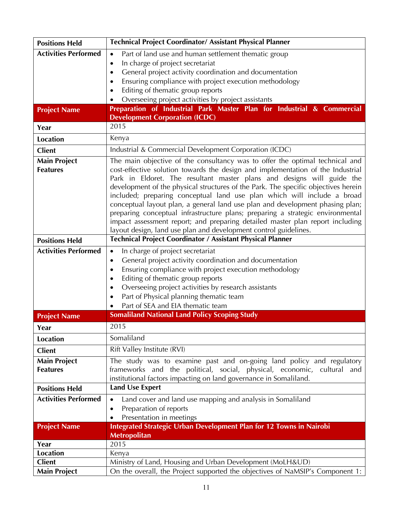| <b>Positions Held</b>       | Technical Project Coordinator/ Assistant Physical Planner                                                                                                       |
|-----------------------------|-----------------------------------------------------------------------------------------------------------------------------------------------------------------|
| <b>Activities Performed</b> | Part of land use and human settlement thematic group<br>$\bullet$                                                                                               |
|                             | In charge of project secretariat<br>$\bullet$                                                                                                                   |
|                             | General project activity coordination and documentation<br>$\bullet$                                                                                            |
|                             | Ensuring compliance with project execution methodology<br>$\bullet$                                                                                             |
|                             | Editing of thematic group reports<br>٠                                                                                                                          |
|                             | Overseeing project activities by project assistants                                                                                                             |
| <b>Project Name</b>         | Preparation of Industrial Park Master Plan for Industrial & Commercial                                                                                          |
|                             | <b>Development Corporation (ICDC)</b>                                                                                                                           |
| Year                        | 2015                                                                                                                                                            |
| <b>Location</b>             | Kenya                                                                                                                                                           |
| <b>Client</b>               | Industrial & Commercial Development Corporation (ICDC)                                                                                                          |
| <b>Main Project</b>         | The main objective of the consultancy was to offer the optimal technical and                                                                                    |
| <b>Features</b>             | cost-effective solution towards the design and implementation of the Industrial                                                                                 |
|                             | Park in Eldoret. The resultant master plans and designs will guide the                                                                                          |
|                             | development of the physical structures of the Park. The specific objectives herein                                                                              |
|                             | included; preparing conceptual land use plan which will include a broad                                                                                         |
|                             | conceptual layout plan, a general land use plan and development phasing plan;<br>preparing conceptual infrastructure plans; preparing a strategic environmental |
|                             | impact assessment report; and preparing detailed master plan report including                                                                                   |
|                             | layout design, land use plan and development control guidelines.                                                                                                |
| <b>Positions Held</b>       | Technical Project Coordinator / Assistant Physical Planner                                                                                                      |
| <b>Activities Performed</b> |                                                                                                                                                                 |
|                             | In charge of project secretariat<br>$\bullet$<br>General project activity coordination and documentation<br>$\bullet$                                           |
|                             | Ensuring compliance with project execution methodology<br>٠                                                                                                     |
|                             | Editing of thematic group reports<br>٠                                                                                                                          |
|                             | Overseeing project activities by research assistants<br>$\bullet$                                                                                               |
|                             | Part of Physical planning thematic team<br>$\bullet$                                                                                                            |
|                             | Part of SEA and EIA thematic team                                                                                                                               |
| <b>Project Name</b>         | <b>Somaliland National Land Policy Scoping Study</b>                                                                                                            |
| Year                        | 2015                                                                                                                                                            |
|                             | Somaliland                                                                                                                                                      |
| <b>Location</b>             |                                                                                                                                                                 |
| <b>Client</b>               | Rift Valley Institute (RVI)                                                                                                                                     |
| <b>Main Project</b>         | The study was to examine past and on-going land policy and regulatory                                                                                           |
| <b>Features</b>             | frameworks and the political, social, physical, economic, cultural and                                                                                          |
|                             | institutional factors impacting on land governance in Somaliland.<br><b>Land Use Expert</b>                                                                     |
| <b>Positions Held</b>       |                                                                                                                                                                 |
| <b>Activities Performed</b> | Land cover and land use mapping and analysis in Somaliland<br>$\bullet$                                                                                         |
|                             | Preparation of reports<br>$\bullet$                                                                                                                             |
|                             | Presentation in meetings<br>٠                                                                                                                                   |
| <b>Project Name</b>         | <b>Integrated Strategic Urban Development Plan for 12 Towns in Nairobi</b><br><b>Metropolitan</b>                                                               |
| Year                        | 2015                                                                                                                                                            |
| <b>Location</b>             | Kenya                                                                                                                                                           |
| <b>Client</b>               | Ministry of Land, Housing and Urban Development (MoLH&UD)                                                                                                       |
| <b>Main Project</b>         | On the overall, the Project supported the objectives of NaMSIP's Component 1:                                                                                   |
|                             |                                                                                                                                                                 |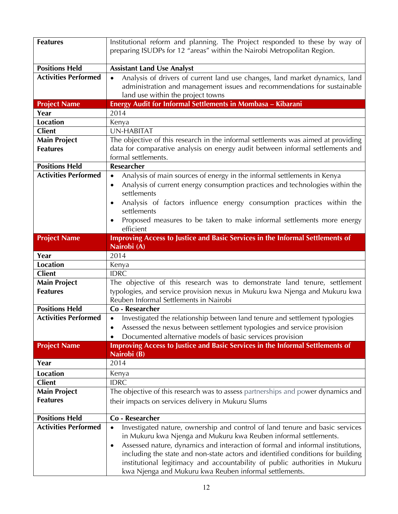| <b>Features</b>                        | Institutional reform and planning. The Project responded to these by way of<br>preparing ISUDPs for 12 "areas" within the Nairobi Metropolitan Region.                                                                                                                                                                                                                                                                                                                                   |
|----------------------------------------|------------------------------------------------------------------------------------------------------------------------------------------------------------------------------------------------------------------------------------------------------------------------------------------------------------------------------------------------------------------------------------------------------------------------------------------------------------------------------------------|
| <b>Positions Held</b>                  | <b>Assistant Land Use Analyst</b>                                                                                                                                                                                                                                                                                                                                                                                                                                                        |
| <b>Activities Performed</b>            | Analysis of drivers of current land use changes, land market dynamics, land<br>$\bullet$<br>administration and management issues and recommendations for sustainable<br>land use within the project towns                                                                                                                                                                                                                                                                                |
| <b>Project Name</b>                    | Energy Audit for Informal Settlements in Mombasa - Kibarani                                                                                                                                                                                                                                                                                                                                                                                                                              |
| Year                                   | 2014                                                                                                                                                                                                                                                                                                                                                                                                                                                                                     |
| <b>Location</b>                        | Kenya                                                                                                                                                                                                                                                                                                                                                                                                                                                                                    |
| <b>Client</b>                          | <b>UN-HABITAT</b>                                                                                                                                                                                                                                                                                                                                                                                                                                                                        |
| <b>Main Project</b><br><b>Features</b> | The objective of this research in the informal settlements was aimed at providing<br>data for comparative analysis on energy audit between informal settlements and<br>formal settlements.                                                                                                                                                                                                                                                                                               |
| <b>Positions Held</b>                  | Researcher                                                                                                                                                                                                                                                                                                                                                                                                                                                                               |
| <b>Activities Performed</b>            | Analysis of main sources of energy in the informal settlements in Kenya<br>$\bullet$<br>Analysis of current energy consumption practices and technologies within the<br>$\bullet$<br>settlements<br>Analysis of factors influence energy consumption practices within the<br>settlements<br>Proposed measures to be taken to make informal settlements more energy<br>efficient                                                                                                          |
| <b>Project Name</b>                    | Improving Access to Justice and Basic Services in the Informal Settlements of<br>Nairobi (A)                                                                                                                                                                                                                                                                                                                                                                                             |
| Year                                   | 2014                                                                                                                                                                                                                                                                                                                                                                                                                                                                                     |
| <b>Location</b>                        | Kenya                                                                                                                                                                                                                                                                                                                                                                                                                                                                                    |
| <b>Client</b>                          | <b>IDRC</b>                                                                                                                                                                                                                                                                                                                                                                                                                                                                              |
| <b>Main Project</b>                    | The objective of this research was to demonstrate land tenure, settlement                                                                                                                                                                                                                                                                                                                                                                                                                |
| <b>Features</b>                        | typologies, and service provision nexus in Mukuru kwa Njenga and Mukuru kwa<br>Reuben Informal Settlements in Nairobi                                                                                                                                                                                                                                                                                                                                                                    |
| <b>Positions Held</b>                  | Co - Researcher                                                                                                                                                                                                                                                                                                                                                                                                                                                                          |
| <b>Activities Performed</b>            | Investigated the relationship between land tenure and settlement typologies<br>Assessed the nexus between settlement typologies and service provision<br>Documented alternative models of basic services provision                                                                                                                                                                                                                                                                       |
| <b>Project Name</b>                    | Improving Access to Justice and Basic Services in the Informal Settlements of<br>Nairobi (B)                                                                                                                                                                                                                                                                                                                                                                                             |
| Year                                   | 2014                                                                                                                                                                                                                                                                                                                                                                                                                                                                                     |
| <b>Location</b>                        | Kenya                                                                                                                                                                                                                                                                                                                                                                                                                                                                                    |
| <b>Client</b>                          | <b>IDRC</b>                                                                                                                                                                                                                                                                                                                                                                                                                                                                              |
| <b>Main Project</b>                    | The objective of this research was to assess partnerships and power dynamics and                                                                                                                                                                                                                                                                                                                                                                                                         |
| <b>Features</b>                        | their impacts on services delivery in Mukuru Slums                                                                                                                                                                                                                                                                                                                                                                                                                                       |
| <b>Positions Held</b>                  | Co - Researcher                                                                                                                                                                                                                                                                                                                                                                                                                                                                          |
| <b>Activities Performed</b>            | Investigated nature, ownership and control of land tenure and basic services<br>$\bullet$<br>in Mukuru kwa Njenga and Mukuru kwa Reuben informal settlements.<br>Assessed nature, dynamics and interaction of formal and informal institutions,<br>$\bullet$<br>including the state and non-state actors and identified conditions for building<br>institutional legitimacy and accountability of public authorities in Mukuru<br>kwa Njenga and Mukuru kwa Reuben informal settlements. |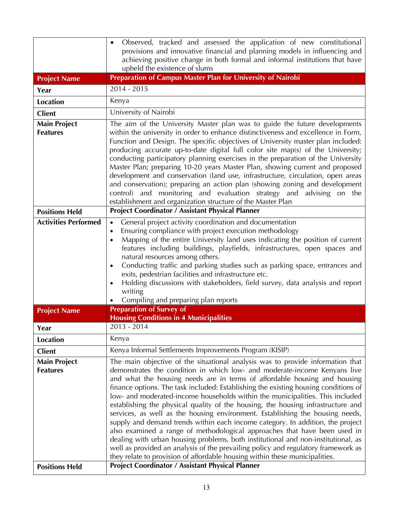|                                        | Observed, tracked and assessed the application of new constitutional<br>$\bullet$<br>provisions and innovative financial and planning models in influencing and                                                                                                                                                                                                                                                                                                                                                                                                                                                                                                                                                                                                                                                                                                                                                                                                                                               |
|----------------------------------------|---------------------------------------------------------------------------------------------------------------------------------------------------------------------------------------------------------------------------------------------------------------------------------------------------------------------------------------------------------------------------------------------------------------------------------------------------------------------------------------------------------------------------------------------------------------------------------------------------------------------------------------------------------------------------------------------------------------------------------------------------------------------------------------------------------------------------------------------------------------------------------------------------------------------------------------------------------------------------------------------------------------|
|                                        | achieving positive change in both formal and informal institutions that have<br>upheld the existence of slums                                                                                                                                                                                                                                                                                                                                                                                                                                                                                                                                                                                                                                                                                                                                                                                                                                                                                                 |
| <b>Project Name</b>                    | Preparation of Campus Master Plan for University of Nairobi                                                                                                                                                                                                                                                                                                                                                                                                                                                                                                                                                                                                                                                                                                                                                                                                                                                                                                                                                   |
| Year                                   | 2014 - 2015                                                                                                                                                                                                                                                                                                                                                                                                                                                                                                                                                                                                                                                                                                                                                                                                                                                                                                                                                                                                   |
| <b>Location</b>                        | Kenya                                                                                                                                                                                                                                                                                                                                                                                                                                                                                                                                                                                                                                                                                                                                                                                                                                                                                                                                                                                                         |
| <b>Client</b>                          | University of Nairobi                                                                                                                                                                                                                                                                                                                                                                                                                                                                                                                                                                                                                                                                                                                                                                                                                                                                                                                                                                                         |
| <b>Main Project</b><br><b>Features</b> | The aim of the University Master plan was to guide the future developments<br>within the university in order to enhance distinctiveness and excellence in Form,<br>Function and Design. The specific objectives of University master plan included:<br>producing accurate up-to-date digital full color site map(s) of the University;<br>conducting participatory planning exercises in the preparation of the University<br>Master Plan; preparing 10-20 years Master Plan, showing current and proposed<br>development and conservation (land use, infrastructure, circulation, open areas<br>and conservation); preparing an action plan (showing zoning and development<br>control) and monitoring and evaluation strategy and advising on the                                                                                                                                                                                                                                                           |
|                                        | establishment and organization structure of the Master Plan                                                                                                                                                                                                                                                                                                                                                                                                                                                                                                                                                                                                                                                                                                                                                                                                                                                                                                                                                   |
| <b>Positions Held</b>                  | <b>Project Coordinator / Assistant Physical Planner</b>                                                                                                                                                                                                                                                                                                                                                                                                                                                                                                                                                                                                                                                                                                                                                                                                                                                                                                                                                       |
| <b>Activities Performed</b>            | General project activity coordination and documentation<br>$\bullet$<br>Ensuring compliance with project execution methodology<br>$\bullet$<br>Mapping of the entire University land uses indicating the position of current<br>$\bullet$<br>features including buildings, playfields, infrastructures, open spaces and<br>natural resources among others.<br>Conducting traffic and parking studies such as parking space, entrances and<br>$\bullet$<br>exits, pedestrian facilities and infrastructure etc.<br>Holding discussions with stakeholders, field survey, data analysis and report<br>$\bullet$<br>writing<br>Compiling and preparing plan reports                                                                                                                                                                                                                                                                                                                                               |
| <b>Project Name</b>                    | <b>Preparation of Survey of</b>                                                                                                                                                                                                                                                                                                                                                                                                                                                                                                                                                                                                                                                                                                                                                                                                                                                                                                                                                                               |
| Year                                   | <b>Housing Conditions in 4 Municipalities</b><br>$2013 - 2014$                                                                                                                                                                                                                                                                                                                                                                                                                                                                                                                                                                                                                                                                                                                                                                                                                                                                                                                                                |
| <b>Location</b>                        | Kenya                                                                                                                                                                                                                                                                                                                                                                                                                                                                                                                                                                                                                                                                                                                                                                                                                                                                                                                                                                                                         |
| <b>Client</b>                          | Kenya Informal Settlements Improvements Program (KISIP)                                                                                                                                                                                                                                                                                                                                                                                                                                                                                                                                                                                                                                                                                                                                                                                                                                                                                                                                                       |
| <b>Main Project</b><br><b>Features</b> | The main objective of the situational analysis was to provide information that<br>demonstrates the condition in which low- and moderate-income Kenyans live<br>and what the housing needs are in terms of affordable housing and housing<br>finance options. The task included: Establishing the existing housing conditions of<br>low- and moderated-income households within the municipalities. This included<br>establishing the physical quality of the housing, the housing infrastructure and<br>services, as well as the housing environment. Establishing the housing needs,<br>supply and demand trends within each income category. In addition, the project<br>also examined a range of methodological approaches that have been used in<br>dealing with urban housing problems, both institutional and non-institutional, as<br>well as provided an analysis of the prevailing policy and regulatory framework as<br>they relate to provision of affordable housing within these municipalities. |
| <b>Positions Held</b>                  | Project Coordinator / Assistant Physical Planner                                                                                                                                                                                                                                                                                                                                                                                                                                                                                                                                                                                                                                                                                                                                                                                                                                                                                                                                                              |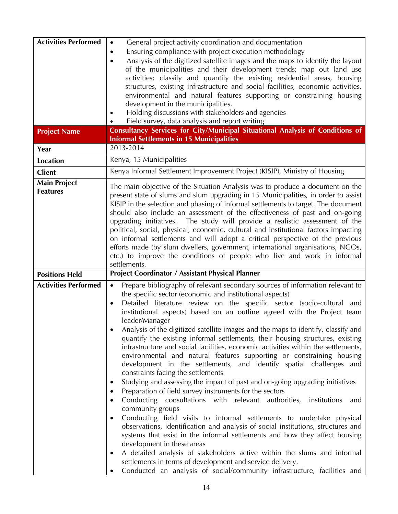| <b>Activities Performed</b> | General project activity coordination and documentation<br>$\bullet$                                                                  |
|-----------------------------|---------------------------------------------------------------------------------------------------------------------------------------|
|                             | Ensuring compliance with project execution methodology<br>٠                                                                           |
|                             | Analysis of the digitized satellite images and the maps to identify the layout<br>٠                                                   |
|                             | of the municipalities and their development trends; map out land use                                                                  |
|                             | activities; classify and quantify the existing residential areas, housing                                                             |
|                             | structures, existing infrastructure and social facilities, economic activities,                                                       |
|                             | environmental and natural features supporting or constraining housing                                                                 |
|                             | development in the municipalities.                                                                                                    |
|                             | Holding discussions with stakeholders and agencies                                                                                    |
|                             | Field survey, data analysis and report writing<br>Consultancy Services for City/Municipal Situational Analysis of Conditions of       |
| <b>Project Name</b>         | <b>Informal Settlements in 15 Municipalities</b>                                                                                      |
| Year                        | 2013-2014                                                                                                                             |
| <b>Location</b>             | Kenya, 15 Municipalities                                                                                                              |
| <b>Client</b>               | Kenya Informal Settlement Improvement Project (KISIP), Ministry of Housing                                                            |
| <b>Main Project</b>         | The main objective of the Situation Analysis was to produce a document on the                                                         |
| <b>Features</b>             | present state of slums and slum upgrading in 15 Municipalities, in order to assist                                                    |
|                             | KISIP in the selection and phasing of informal settlements to target. The document                                                    |
|                             | should also include an assessment of the effectiveness of past and on-going                                                           |
|                             | upgrading initiatives. The study will provide a realistic assessment of the                                                           |
|                             | political, social, physical, economic, cultural and institutional factors impacting                                                   |
|                             | on informal settlements and will adopt a critical perspective of the previous                                                         |
|                             | efforts made (by slum dwellers, government, international organisations, NGOs,                                                        |
|                             | etc.) to improve the conditions of people who live and work in informal                                                               |
|                             | settlements.                                                                                                                          |
|                             |                                                                                                                                       |
| <b>Positions Held</b>       | <b>Project Coordinator / Assistant Physical Planner</b>                                                                               |
| <b>Activities Performed</b> | Prepare bibliography of relevant secondary sources of information relevant to<br>$\bullet$                                            |
|                             | the specific sector (economic and institutional aspects)                                                                              |
|                             | Detailed literature review on the specific sector (socio-cultural and<br>$\bullet$                                                    |
|                             | institutional aspects) based on an outline agreed with the Project team                                                               |
|                             | leader/Manager                                                                                                                        |
|                             | Analysis of the digitized satellite images and the maps to identify, classify and                                                     |
|                             | quantify the existing informal settlements, their housing structures, existing                                                        |
|                             | infrastructure and social facilities, economic activities within the settlements,                                                     |
|                             | environmental and natural features supporting or constraining housing                                                                 |
|                             | development in the settlements, and identify spatial challenges and                                                                   |
|                             | constraints facing the settlements                                                                                                    |
|                             | Studying and assessing the impact of past and on-going upgrading initiatives<br>$\bullet$                                             |
|                             | Preparation of field survey instruments for the sectors<br>$\bullet$                                                                  |
|                             | Conducting consultations with relevant authorities,<br>institutions<br>and<br>٠                                                       |
|                             | community groups                                                                                                                      |
|                             | Conducting field visits to informal settlements to undertake physical<br>٠                                                            |
|                             | observations, identification and analysis of social institutions, structures and                                                      |
|                             | systems that exist in the informal settlements and how they affect housing                                                            |
|                             | development in these areas<br>$\bullet$                                                                                               |
|                             | A detailed analysis of stakeholders active within the slums and informal<br>settlements in terms of development and service delivery. |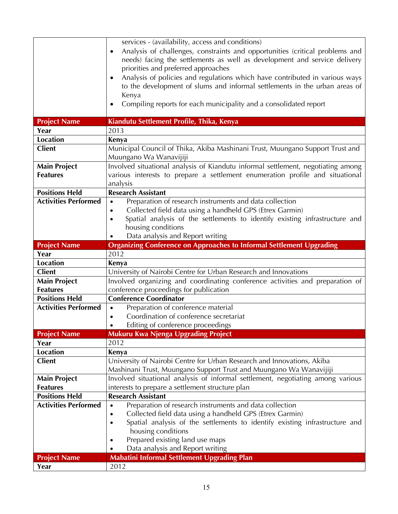|                             | services - (availability, access and conditions)                                          |
|-----------------------------|-------------------------------------------------------------------------------------------|
|                             | Analysis of challenges, constraints and opportunities (critical problems and<br>$\bullet$ |
|                             | needs) facing the settlements as well as development and service delivery                 |
|                             | priorities and preferred approaches                                                       |
|                             | Analysis of policies and regulations which have contributed in various ways<br>$\bullet$  |
|                             | to the development of slums and informal settlements in the urban areas of                |
|                             | Kenya                                                                                     |
|                             | Compiling reports for each municipality and a consolidated report<br>$\bullet$            |
|                             |                                                                                           |
| <b>Project Name</b>         | Kiandutu Settlement Profile, Thika, Kenya                                                 |
| Year                        | 2013                                                                                      |
| <b>Location</b>             | Kenya                                                                                     |
| <b>Client</b>               | Municipal Council of Thika, Akiba Mashinani Trust, Muungano Support Trust and             |
|                             | Muungano Wa Wanavijiji                                                                    |
| <b>Main Project</b>         | Involved situational analysis of Kiandutu informal settlement, negotiating among          |
| <b>Features</b>             | various interests to prepare a settlement enumeration profile and situational             |
|                             | analysis                                                                                  |
| <b>Positions Held</b>       | <b>Research Assistant</b>                                                                 |
| <b>Activities Performed</b> | Preparation of research instruments and data collection<br>$\bullet$                      |
|                             | Collected field data using a handheld GPS (Etrex Garmin)<br>$\bullet$                     |
|                             | Spatial analysis of the settlements to identify existing infrastructure and<br>$\bullet$  |
|                             | housing conditions                                                                        |
|                             | Data analysis and Report writing                                                          |
| <b>Project Name</b>         | <b>Organizing Conference on Approaches to Informal Settlement Upgrading</b>               |
| Year                        | 2012                                                                                      |
| <b>Location</b>             | Kenya                                                                                     |
| <b>Client</b>               | University of Nairobi Centre for Urban Research and Innovations                           |
| <b>Main Project</b>         | Involved organizing and coordinating conference activities and preparation of             |
| <b>Features</b>             | conference proceedings for publication                                                    |
| <b>Positions Held</b>       | <b>Conference Coordinator</b>                                                             |
| <b>Activities Performed</b> | Preparation of conference material<br>$\bullet$                                           |
|                             | Coordination of conference secretariat                                                    |
|                             | Editing of conference proceedings<br>$\bullet$                                            |
| <b>Project Name</b>         | Mukuru Kwa Njenga Upgrading Project                                                       |
| Year                        | 2012                                                                                      |
| <b>Location</b>             | Kenya                                                                                     |
| <b>Client</b>               | University of Nairobi Centre for Urban Research and Innovations, Akiba                    |
|                             | Mashinani Trust, Muungano Support Trust and Muungano Wa Wanavijiji                        |
| <b>Main Project</b>         | Involved situational analysis of informal settlement, negotiating among various           |
| <b>Features</b>             | interests to prepare a settlement structure plan                                          |
| <b>Positions Held</b>       | <b>Research Assistant</b>                                                                 |
| <b>Activities Performed</b> | Preparation of research instruments and data collection<br>$\bullet$                      |
|                             | Collected field data using a handheld GPS (Etrex Garmin)<br>$\bullet$                     |
|                             | Spatial analysis of the settlements to identify existing infrastructure and<br>$\bullet$  |
|                             | housing conditions                                                                        |
|                             | Prepared existing land use maps<br>٠                                                      |
|                             | Data analysis and Report writing                                                          |
| <b>Project Name</b>         | <b>Mabatini Informal Settlement Upgrading Plan</b>                                        |
| Year                        | 2012                                                                                      |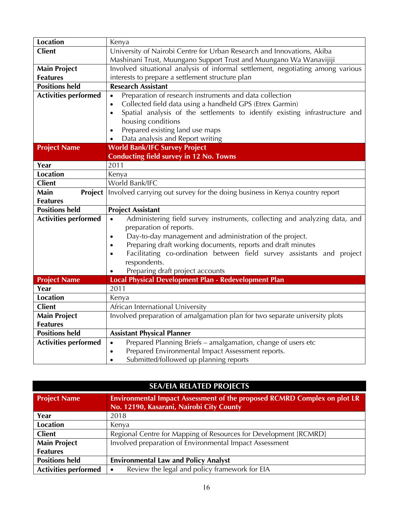| <b>Location</b>             | Kenya                                                                                    |
|-----------------------------|------------------------------------------------------------------------------------------|
| <b>Client</b>               | University of Nairobi Centre for Urban Research and Innovations, Akiba                   |
|                             | Mashinani Trust, Muungano Support Trust and Muungano Wa Wanavijiji                       |
| <b>Main Project</b>         | Involved situational analysis of informal settlement, negotiating among various          |
| <b>Features</b>             | interests to prepare a settlement structure plan                                         |
| <b>Positions held</b>       | <b>Research Assistant</b>                                                                |
| <b>Activities performed</b> | Preparation of research instruments and data collection<br>$\bullet$                     |
|                             | Collected field data using a handheld GPS (Etrex Garmin)<br>$\bullet$                    |
|                             | Spatial analysis of the settlements to identify existing infrastructure and<br>$\bullet$ |
|                             | housing conditions                                                                       |
|                             | Prepared existing land use maps<br>$\bullet$                                             |
|                             | Data analysis and Report writing                                                         |
| <b>Project Name</b>         | <b>World Bank/IFC Survey Project</b>                                                     |
|                             | <b>Conducting field survey in 12 No. Towns</b>                                           |
| Year                        | 2011                                                                                     |
| <b>Location</b>             | Kenya                                                                                    |
| <b>Client</b>               | World Bank/IFC                                                                           |
| Main<br><b>Project</b>      | Involved carrying out survey for the doing business in Kenya country report              |
| <b>Features</b>             |                                                                                          |
| <b>Positions held</b>       | <b>Project Assistant</b>                                                                 |
| <b>Activities performed</b> | Administering field survey instruments, collecting and analyzing data, and<br>$\bullet$  |
|                             | preparation of reports.                                                                  |
|                             | Day-to-day management and administration of the project.<br>$\bullet$                    |
|                             | Preparing draft working documents, reports and draft minutes<br>$\bullet$                |
|                             | Facilitating co-ordination between field survey assistants and project<br>$\bullet$      |
|                             | respondents.                                                                             |
|                             | Preparing draft project accounts                                                         |
| <b>Project Name</b>         | Local Physical Development Plan - Redevelopment Plan                                     |
| Year                        | 2011                                                                                     |
| <b>Location</b>             | Kenya                                                                                    |
| <b>Client</b>               | African International University                                                         |
| <b>Main Project</b>         | Involved preparation of amalgamation plan for two separate university plots              |
| <b>Features</b>             |                                                                                          |
| <b>Positions held</b>       | <b>Assistant Physical Planner</b>                                                        |
| <b>Activities performed</b> | Prepared Planning Briefs - amalgamation, change of users etc<br>$\bullet$                |
|                             | Prepared Environmental Impact Assessment reports.<br>$\bullet$                           |
|                             | Submitted/followed up planning reports<br>$\bullet$                                      |

| <b>SEA/EIA RELATED PROJECTS</b> |                                                                                                                             |
|---------------------------------|-----------------------------------------------------------------------------------------------------------------------------|
| <b>Project Name</b>             | <b>Environmental Impact Assessment of the proposed RCMRD Complex on plot LR</b><br>No. 12190, Kasarani, Nairobi City County |
| Year                            | 2018                                                                                                                        |
| <b>Location</b>                 | Kenya                                                                                                                       |
| <b>Client</b>                   | Regional Centre for Mapping of Resources for Development [RCMRD]                                                            |
| <b>Main Project</b>             | Involved preparation of Environmental Impact Assessment                                                                     |
| <b>Features</b>                 |                                                                                                                             |
| <b>Positions held</b>           | <b>Environmental Law and Policy Analyst</b>                                                                                 |
| <b>Activities performed</b>     | Review the legal and policy framework for EIA<br>$\bullet$                                                                  |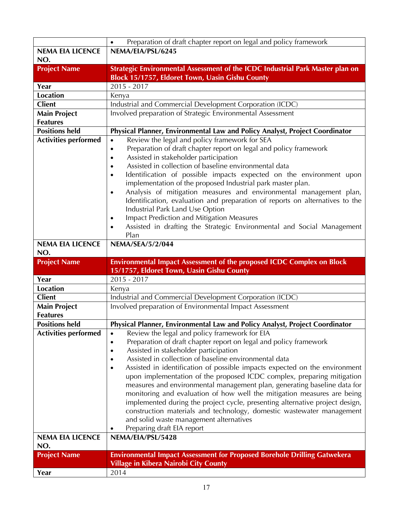|                             | Preparation of draft chapter report on legal and policy framework<br>$\bullet$          |
|-----------------------------|-----------------------------------------------------------------------------------------|
| <b>NEMA EIA LICENCE</b>     | NEMA/EIA/PSL/6245                                                                       |
| NO.                         |                                                                                         |
| <b>Project Name</b>         | Strategic Environmental Assessment of the ICDC Industrial Park Master plan on           |
|                             | Block 15/1757, Eldoret Town, Uasin Gishu County                                         |
| Year                        | $2015 - 2017$                                                                           |
| <b>Location</b>             | Kenya                                                                                   |
| <b>Client</b>               | Industrial and Commercial Development Corporation (ICDC)                                |
| <b>Main Project</b>         | Involved preparation of Strategic Environmental Assessment                              |
| <b>Features</b>             |                                                                                         |
| <b>Positions held</b>       | Physical Planner, Environmental Law and Policy Analyst, Project Coordinator             |
| <b>Activities performed</b> | Review the legal and policy framework for SEA<br>$\bullet$                              |
|                             | Preparation of draft chapter report on legal and policy framework<br>$\bullet$          |
|                             | Assisted in stakeholder participation<br>$\bullet$                                      |
|                             | Assisted in collection of baseline environmental data                                   |
|                             | Identification of possible impacts expected on the environment upon                     |
|                             | implementation of the proposed Industrial park master plan.                             |
|                             | Analysis of mitigation measures and environmental management plan,<br>$\bullet$         |
|                             | Identification, evaluation and preparation of reports on alternatives to the            |
|                             | Industrial Park Land Use Option                                                         |
|                             | <b>Impact Prediction and Mitigation Measures</b><br>$\bullet$                           |
|                             | Assisted in drafting the Strategic Environmental and Social Management<br>$\bullet$     |
|                             | Plan                                                                                    |
| <b>NEMA EIA LICENCE</b>     | NEMA/SEA/5/2/044                                                                        |
| NO.                         |                                                                                         |
|                             |                                                                                         |
| <b>Project Name</b>         | <b>Environmental Impact Assessment of the proposed ICDC Complex on Block</b>            |
|                             | 15/1757, Eldoret Town, Uasin Gishu County                                               |
| Year                        | 2015 - 2017                                                                             |
| <b>Location</b>             | Kenya                                                                                   |
| <b>Client</b>               | Industrial and Commercial Development Corporation (ICDC)                                |
| <b>Main Project</b>         | Involved preparation of Environmental Impact Assessment                                 |
| <b>Features</b>             |                                                                                         |
| <b>Positions held</b>       | Physical Planner, Environmental Law and Policy Analyst, Project Coordinator             |
| <b>Activities performed</b> | Review the legal and policy framework for EIA<br>$\bullet$                              |
|                             | Preparation of draft chapter report on legal and policy framework<br>٠                  |
|                             | Assisted in stakeholder participation<br>$\bullet$                                      |
|                             | Assisted in collection of baseline environmental data<br>$\bullet$                      |
|                             | Assisted in identification of possible impacts expected on the environment<br>$\bullet$ |
|                             | upon implementation of the proposed ICDC complex, preparing mitigation                  |
|                             | measures and environmental management plan, generating baseline data for                |
|                             | monitoring and evaluation of how well the mitigation measures are being                 |
|                             | implemented during the project cycle, presenting alternative project design,            |
|                             | construction materials and technology, domestic wastewater management                   |
|                             | and solid waste management alternatives                                                 |
|                             | Preparing draft EIA report                                                              |
| <b>NEMA EIA LICENCE</b>     | NEMA/EIA/PSL/5428                                                                       |
| NO.                         |                                                                                         |
| <b>Project Name</b>         | <b>Environmental Impact Assessment for Proposed Borehole Drilling Gatwekera</b>         |
| Year                        | <b>Village in Kibera Nairobi City County</b><br>2014                                    |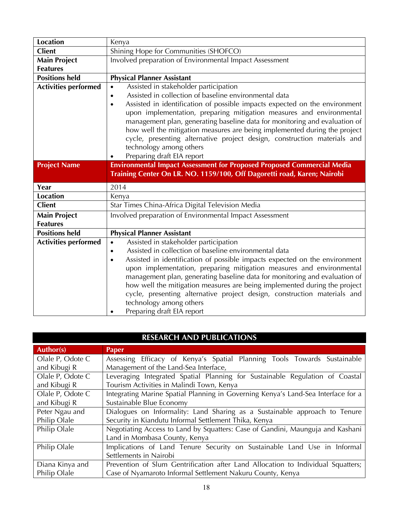| <b>Location</b>             | Kenya                                                                                                                                                                                                                                                                                                                                                                                                                                                           |
|-----------------------------|-----------------------------------------------------------------------------------------------------------------------------------------------------------------------------------------------------------------------------------------------------------------------------------------------------------------------------------------------------------------------------------------------------------------------------------------------------------------|
| <b>Client</b>               | Shining Hope for Communities (SHOFCO)                                                                                                                                                                                                                                                                                                                                                                                                                           |
| <b>Main Project</b>         | Involved preparation of Environmental Impact Assessment                                                                                                                                                                                                                                                                                                                                                                                                         |
| <b>Features</b>             |                                                                                                                                                                                                                                                                                                                                                                                                                                                                 |
| <b>Positions held</b>       | <b>Physical Planner Assistant</b>                                                                                                                                                                                                                                                                                                                                                                                                                               |
| <b>Activities performed</b> | Assisted in stakeholder participation<br>$\bullet$<br>Assisted in collection of baseline environmental data<br>$\bullet$<br>Assisted in identification of possible impacts expected on the environment<br>$\bullet$<br>upon implementation, preparing mitigation measures and environmental<br>management plan, generating baseline data for monitoring and evaluation of                                                                                       |
|                             | how well the mitigation measures are being implemented during the project<br>cycle, presenting alternative project design, construction materials and<br>technology among others<br>Preparing draft EIA report                                                                                                                                                                                                                                                  |
| <b>Project Name</b>         | <b>Environmental Impact Assessment for Proposed Proposed Commercial Media</b><br>Training Center On LR. NO. 1159/100, Off Dagoretti road, Karen; Nairobi                                                                                                                                                                                                                                                                                                        |
|                             |                                                                                                                                                                                                                                                                                                                                                                                                                                                                 |
| Year                        | 2014                                                                                                                                                                                                                                                                                                                                                                                                                                                            |
| <b>Location</b>             | Kenya                                                                                                                                                                                                                                                                                                                                                                                                                                                           |
| <b>Client</b>               | Star Times China-Africa Digital Television Media                                                                                                                                                                                                                                                                                                                                                                                                                |
| <b>Main Project</b>         | Involved preparation of Environmental Impact Assessment                                                                                                                                                                                                                                                                                                                                                                                                         |
| <b>Features</b>             |                                                                                                                                                                                                                                                                                                                                                                                                                                                                 |
| <b>Positions held</b>       | <b>Physical Planner Assistant</b>                                                                                                                                                                                                                                                                                                                                                                                                                               |
| <b>Activities performed</b> | Assisted in stakeholder participation<br>$\bullet$                                                                                                                                                                                                                                                                                                                                                                                                              |
|                             | Assisted in collection of baseline environmental data<br>$\bullet$                                                                                                                                                                                                                                                                                                                                                                                              |
|                             | Assisted in identification of possible impacts expected on the environment<br>$\bullet$<br>upon implementation, preparing mitigation measures and environmental<br>management plan, generating baseline data for monitoring and evaluation of<br>how well the mitigation measures are being implemented during the project<br>cycle, presenting alternative project design, construction materials and<br>technology among others<br>Preparing draft EIA report |

| <b>RESEARCH AND PUBLICATIONS</b> |                                                                                   |
|----------------------------------|-----------------------------------------------------------------------------------|
| Author(s)                        | <b>Paper</b>                                                                      |
| Olale P, Odote C                 | Assessing Efficacy of Kenya's Spatial Planning Tools Towards Sustainable          |
| and Kibugi R                     | Management of the Land-Sea Interface,                                             |
| Olale P, Odote C                 | Leveraging Integrated Spatial Planning for Sustainable Regulation of Coastal      |
| and Kibugi R                     | Tourism Activities in Malindi Town, Kenya                                         |
| Olale P, Odote C                 | Integrating Marine Spatial Planning in Governing Kenya's Land-Sea Interface for a |
| and Kibugi R                     | Sustainable Blue Economy                                                          |
| Peter Ngau and                   | Dialogues on Informality: Land Sharing as a Sustainable approach to Tenure        |
| Philip Olale                     | Security in Kiandutu Informal Settlement Thika, Kenya                             |
| Philip Olale                     | Negotiating Access to Land by Squatters: Case of Gandini, Maunguja and Kashani    |
|                                  | Land in Mombasa County, Kenya                                                     |
| Philip Olale                     | Implications of Land Tenure Security on Sustainable Land Use in Informal          |
|                                  | Settlements in Nairobi                                                            |
| Diana Kinya and                  | Prevention of Slum Gentrification after Land Allocation to Individual Squatters;  |
| Philip Olale                     | Case of Nyamaroto Informal Settlement Nakuru County, Kenya                        |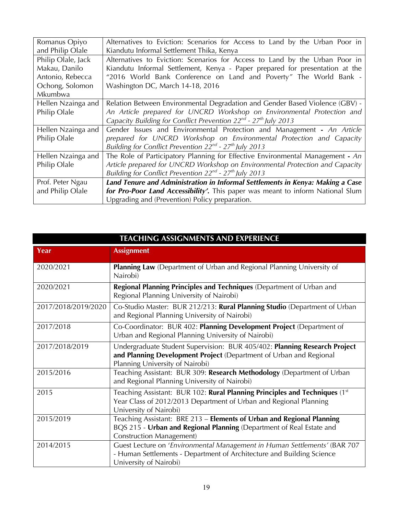| Romanus Opiyo<br>and Philip Olale                                                     | Alternatives to Eviction: Scenarios for Access to Land by the Urban Poor in<br>Kiandutu Informal Settlement Thika, Kenya                                                                                                                                             |
|---------------------------------------------------------------------------------------|----------------------------------------------------------------------------------------------------------------------------------------------------------------------------------------------------------------------------------------------------------------------|
| Philip Olale, Jack<br>Makau, Danilo<br>Antonio, Rebecca<br>Ochong, Solomon<br>Mkumbwa | Alternatives to Eviction: Scenarios for Access to Land by the Urban Poor in<br>Kiandutu Informal Settlement, Kenya - Paper prepared for presentation at the<br>"2016 World Bank Conference on Land and Poverty" The World Bank -<br>Washington DC, March 14-18, 2016 |
| Hellen Nzainga and<br>Philip Olale                                                    | Relation Between Environmental Degradation and Gender Based Violence (GBV) -<br>An Article prepared for UNCRD Workshop on Environmental Protection and<br>Capacity Building for Conflict Prevention $22^{nd}$ - $27^{th}$ July 2013                                  |
| Hellen Nzainga and<br>Philip Olale                                                    | Gender Issues and Environmental Protection and Management - An Article<br>prepared for UNCRD Workshop on Environmental Protection and Capacity<br>Building for Conflict Prevention $22^{nd}$ - $27^{th}$ July 2013                                                   |
| Hellen Nzainga and<br>Philip Olale                                                    | The Role of Participatory Planning for Effective Environmental Management - An<br>Article prepared for UNCRD Workshop on Environmental Protection and Capacity<br>Building for Conflict Prevention 22 <sup>nd</sup> - 27 <sup>th</sup> July 2013                     |
| Prof. Peter Ngau<br>and Philip Olale                                                  | Land Tenure and Administration in Informal Settlements in Kenya: Making a Case<br>for Pro-Poor Land Accessibility'. This paper was meant to inform National Slum<br>Upgrading and (Prevention) Policy preparation.                                                   |

| <b>TEACHING ASSIGNMENTS AND EXPERIENCE</b> |                                                                                                                                                                                    |
|--------------------------------------------|------------------------------------------------------------------------------------------------------------------------------------------------------------------------------------|
| Year                                       | <b>Assignment</b>                                                                                                                                                                  |
| 2020/2021                                  | <b>Planning Law</b> (Department of Urban and Regional Planning University of<br>Nairobi)                                                                                           |
| 2020/2021                                  | Regional Planning Principles and Techniques (Department of Urban and<br>Regional Planning University of Nairobi)                                                                   |
| 2017/2018/2019/2020                        | Co-Studio Master: BUR 212/213: Rural Planning Studio (Department of Urban<br>and Regional Planning University of Nairobi)                                                          |
| 2017/2018                                  | Co-Coordinator: BUR 402: Planning Development Project (Department of<br>Urban and Regional Planning University of Nairobi)                                                         |
| 2017/2018/2019                             | Undergraduate Student Supervision: BUR 405/402: Planning Research Project<br>and Planning Development Project (Department of Urban and Regional<br>Planning University of Nairobi) |
| 2015/2016                                  | Teaching Assistant: BUR 309: Research Methodology (Department of Urban<br>and Regional Planning University of Nairobi)                                                             |
| 2015                                       | Teaching Assistant: BUR 102: Rural Planning Principles and Techniques (1st<br>Year Class of 2012/2013 Department of Urban and Regional Planning<br>University of Nairobi)          |
| 2015/2019                                  | Teaching Assistant: BRE 213 - Elements of Urban and Regional Planning<br>BQS 215 - Urban and Regional Planning (Department of Real Estate and<br><b>Construction Management)</b>   |
| 2014/2015                                  | Guest Lecture on 'Environmental Management in Human Settlements' (BAR 707<br>- Human Settlements - Department of Architecture and Building Science<br>University of Nairobi)       |